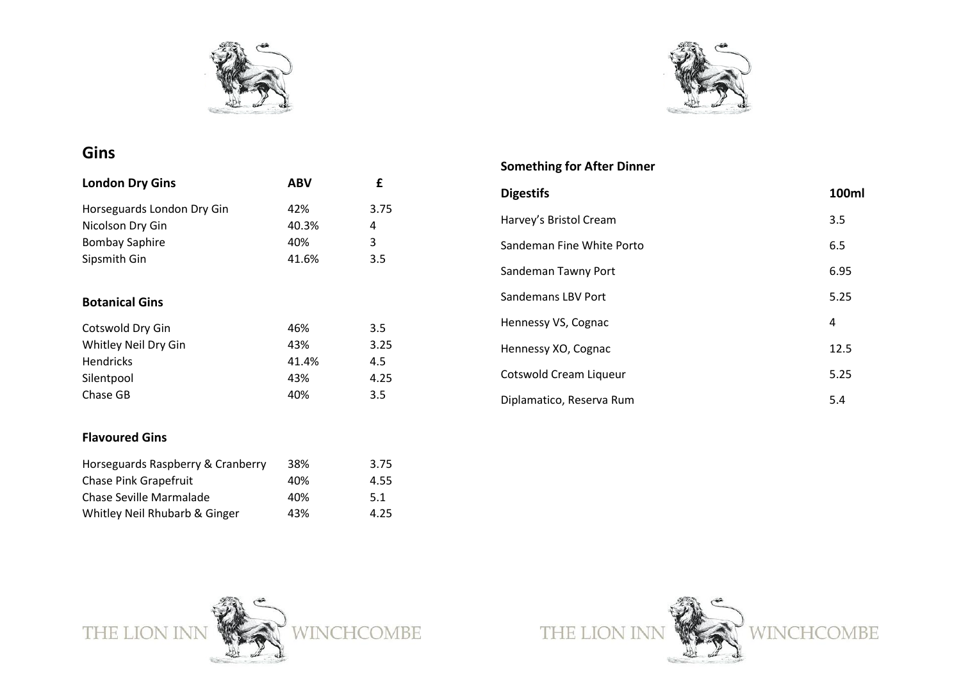



### **Gin s**

| <b>London Dry Gins</b>     | ABV   | £    |
|----------------------------|-------|------|
| Horseguards London Dry Gin | 42%   | 3.75 |
| Nicolson Dry Gin           | 40.3% | 4    |
| <b>Bombay Saphire</b>      | 40%   | 3    |
| Sipsmith Gin               | 41.6% | 3.5  |
| <b>Botanical Gins</b>      |       |      |
| Cotswold Dry Gin           | 46%   | 3.5  |
| Whitley Neil Dry Gin       | 43%   | 3.25 |
| <b>Hendricks</b>           | 41.4% | 4.5  |
| Silentpool                 | 43%   | 4.25 |
| Chase GB                   | 40%   | 3.5  |

#### **Flavoured Gins**

| Horseguards Raspberry & Cranberry | 38% | 3.75 |
|-----------------------------------|-----|------|
| <b>Chase Pink Grapefruit</b>      | 40% | 4.55 |
| Chase Seville Marmalade           | 40% | 5.1  |
| Whitley Neil Rhubarb & Ginger     | 43% | 4.25 |

#### **Something for After Dinner**

| <b>Digestifs</b>              | 100ml |
|-------------------------------|-------|
| Harvey's Bristol Cream        | 3.5   |
| Sandeman Fine White Porto     | 6.5   |
| Sandeman Tawny Port           | 6.95  |
| <b>Sandemans LBV Port</b>     | 5.25  |
| Hennessy VS, Cognac           | 4     |
| Hennessy XO, Cognac           | 12.5  |
| <b>Cotswold Cream Liqueur</b> | 5.25  |
| Diplamatico, Reserva Rum      | 5.4   |



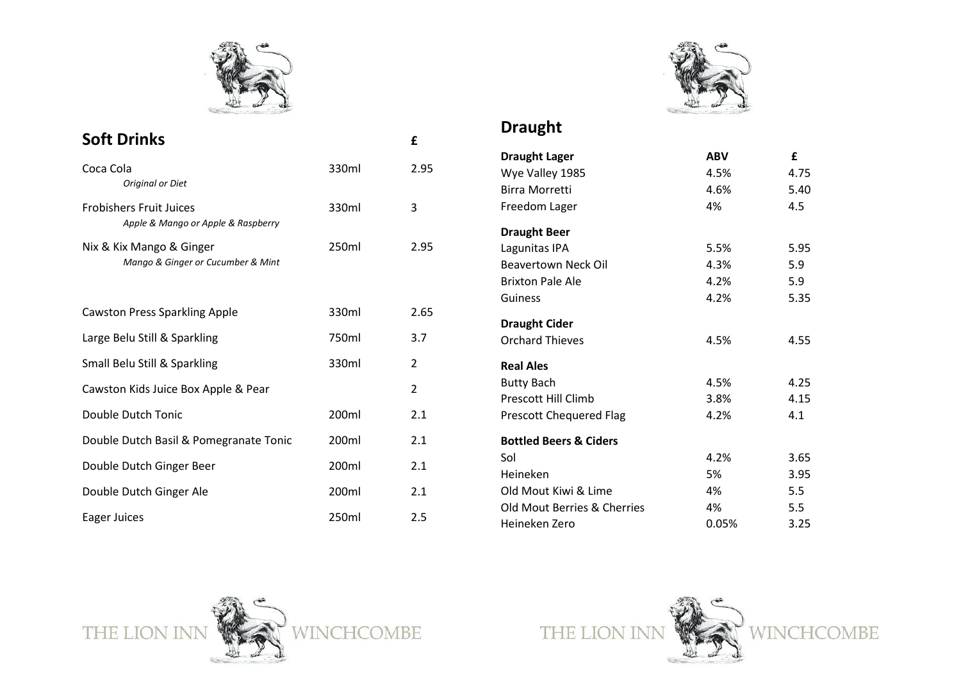

# **Draught**

| <b>Soft Drinks</b>                     |       | £              | DIAUKIIL                          |            |              |
|----------------------------------------|-------|----------------|-----------------------------------|------------|--------------|
|                                        |       |                | <b>Draught Lager</b>              | <b>ABV</b> | $\mathbf{f}$ |
| Coca Cola                              | 330ml | 2.95           | Wye Valley 1985                   | 4.5%       | 4.75         |
| Original or Diet                       |       |                | <b>Birra Morretti</b>             | 4.6%       | 5.40         |
| <b>Frobishers Fruit Juices</b>         | 330ml | 3              | Freedom Lager                     | 4%         | 4.5          |
| Apple & Mango or Apple & Raspberry     |       |                | <b>Draught Beer</b>               |            |              |
| Nix & Kix Mango & Ginger               | 250ml | 2.95           | Lagunitas IPA                     | 5.5%       | 5.95         |
| Mango & Ginger or Cucumber & Mint      |       |                | Beavertown Neck Oil               | 4.3%       | 5.9          |
|                                        |       |                | <b>Brixton Pale Ale</b>           | 4.2%       | 5.9          |
|                                        |       |                | Guiness                           | 4.2%       | 5.35         |
| <b>Cawston Press Sparkling Apple</b>   | 330ml | 2.65           | <b>Draught Cider</b>              |            |              |
| Large Belu Still & Sparkling           | 750ml | 3.7            | <b>Orchard Thieves</b>            | 4.5%       | 4.55         |
| Small Belu Still & Sparkling           | 330ml | $\overline{2}$ | <b>Real Ales</b>                  |            |              |
| Cawston Kids Juice Box Apple & Pear    |       | $\overline{2}$ | <b>Butty Bach</b>                 | 4.5%       | 4.25         |
|                                        |       |                | <b>Prescott Hill Climb</b>        | 3.8%       | 4.15         |
| Double Dutch Tonic                     | 200ml | 2.1            | <b>Prescott Chequered Flag</b>    | 4.2%       | 4.1          |
| Double Dutch Basil & Pomegranate Tonic | 200ml | 2.1            | <b>Bottled Beers &amp; Ciders</b> |            |              |
|                                        |       | 2.1            | Sol                               | 4.2%       | 3.65         |
| Double Dutch Ginger Beer               | 200ml |                | Heineken                          | 5%         | 3.95         |
| Double Dutch Ginger Ale                | 200ml | 2.1            | Old Mout Kiwi & Lime              | 4%         | 5.5          |
|                                        |       |                | Old Mout Berries & Cherries       | 4%         | 5.5          |
| Eager Juices                           | 250ml | 2.5            | Heineken Zero                     | 0.05%      | 3.25         |



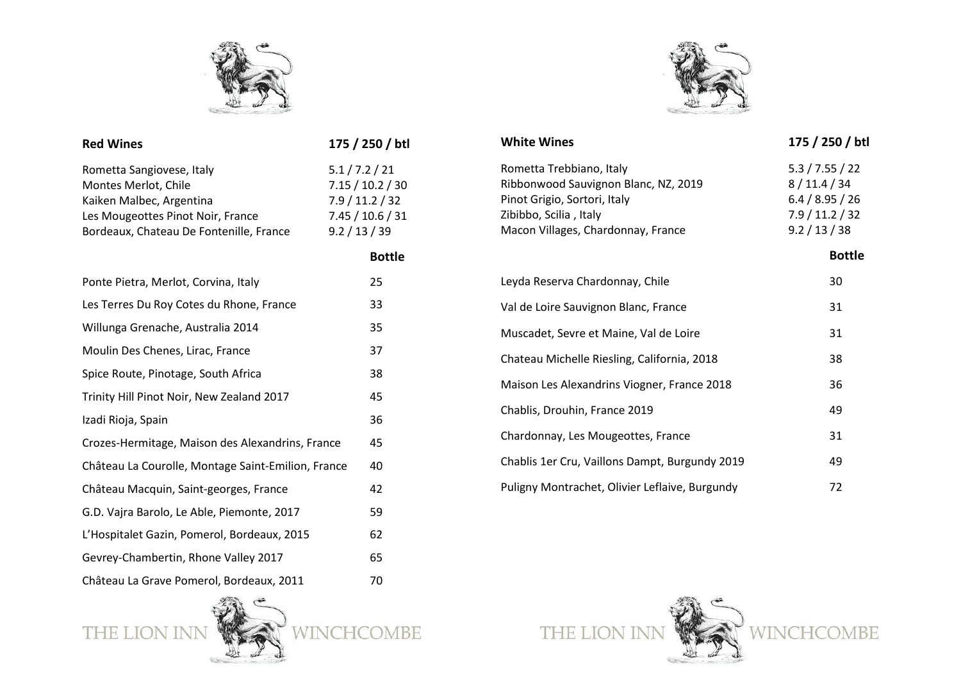



| <b>Red Wines</b>                                                                                                                                              | 175 / 250 / btl                                                                        |  |
|---------------------------------------------------------------------------------------------------------------------------------------------------------------|----------------------------------------------------------------------------------------|--|
| Rometta Sangiovese, Italy<br>Montes Merlot, Chile<br>Kaiken Malbec, Argentina<br>Les Mougeottes Pinot Noir, France<br>Bordeaux, Chateau De Fontenille, France | 5.1 / 7.2 / 21<br>7.15 / 10.2 / 30<br>7.9/11.2/32<br>7.45 / 10.6 / 31<br>9.2 / 13 / 39 |  |
|                                                                                                                                                               | <b>Bottle</b>                                                                          |  |
| Ponte Pietra, Merlot, Corvina, Italy                                                                                                                          | 25                                                                                     |  |
| Les Terres Du Roy Cotes du Rhone, France                                                                                                                      | 33                                                                                     |  |
| Willunga Grenache, Australia 2014                                                                                                                             | 35                                                                                     |  |
| Moulin Des Chenes, Lirac, France                                                                                                                              | 37                                                                                     |  |
| Spice Route, Pinotage, South Africa                                                                                                                           | 38                                                                                     |  |
| Trinity Hill Pinot Noir, New Zealand 2017                                                                                                                     | 45                                                                                     |  |
| Izadi Rioja, Spain                                                                                                                                            | 36                                                                                     |  |
| Crozes-Hermitage, Maison des Alexandrins, France                                                                                                              | 45                                                                                     |  |
| Château La Courolle, Montage Saint-Emilion, France                                                                                                            | 40                                                                                     |  |
| Château Macquin, Saint-georges, France                                                                                                                        | 42                                                                                     |  |
| G.D. Vajra Barolo, Le Able, Piemonte, 2017                                                                                                                    | 59                                                                                     |  |
| L'Hospitalet Gazin, Pomerol, Bordeaux, 2015                                                                                                                   | 62                                                                                     |  |
| Gevrey-Chambertin, Rhone Valley 2017                                                                                                                          | 65                                                                                     |  |
| Château La Grave Pomerol, Bordeaux, 2011                                                                                                                      | 70                                                                                     |  |

THE I